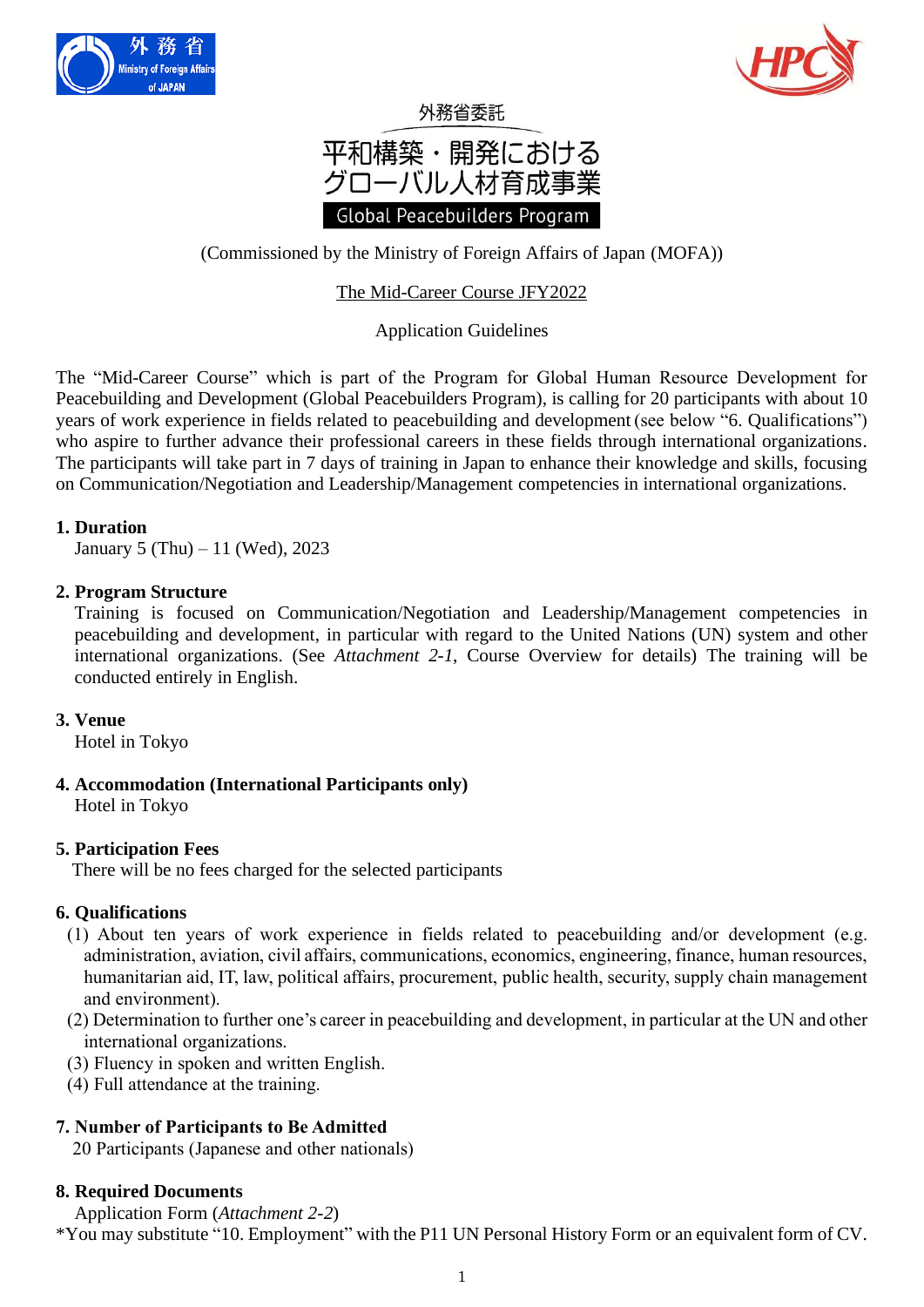



# 外務省委託 平和構築・開発における グローバル人材育成事業 Global Peacebuilders Program

(Commissioned by the Ministry of Foreign Affairs of Japan (MOFA))

## The Mid-Career Course JFY2022

## Application Guidelines

The "Mid-Career Course" which is part of the Program for Global Human Resource Development for Peacebuilding and Development (Global Peacebuilders Program), is calling for 20 participants with about 10 years of work experience in fields related to peacebuilding and development (see below "6. Qualifications") who aspire to further advance their professional careers in these fields through international organizations. The participants will take part in 7 days of training in Japan to enhance their knowledge and skills, focusing on Communication/Negotiation and Leadership/Management competencies in international organizations.

### **1. Duration**

January 5 (Thu) – 11 (Wed), 2023

## **2. Program Structure**

 Training is focused on Communication/Negotiation and Leadership/Management competencies in peacebuilding and development, in particular with regard to the United Nations (UN) system and other international organizations. (See *Attachment 2-1*, Course Overview for details) The training will be conducted entirely in English.

## **3. Venue**

Hotel in Tokyo

## **4. Accommodation (International Participants only)**

Hotel in Tokyo

## **5. Participation Fees**

There will be no fees charged for the selected participants

#### **6. Qualifications**

- (1) About ten years of work experience in fields related to peacebuilding and/or development (e.g. administration, aviation, civil affairs, communications, economics, engineering, finance, human resources, humanitarian aid, IT, law, political affairs, procurement, public health, security, supply chain management and environment).
- (2) Determination to further one's career in peacebuilding and development, in particular at the UN and other international organizations.
- (3) Fluency in spoken and written English.
- (4) Full attendance at the training.

## **7. Number of Participants to Be Admitted**

20 Participants (Japanese and other nationals)

## **8. Required Documents**

Application Form (*Attachment 2-2*)

\*You may substitute "10. Employment" with the P11 UN Personal History Form or an equivalent form of CV.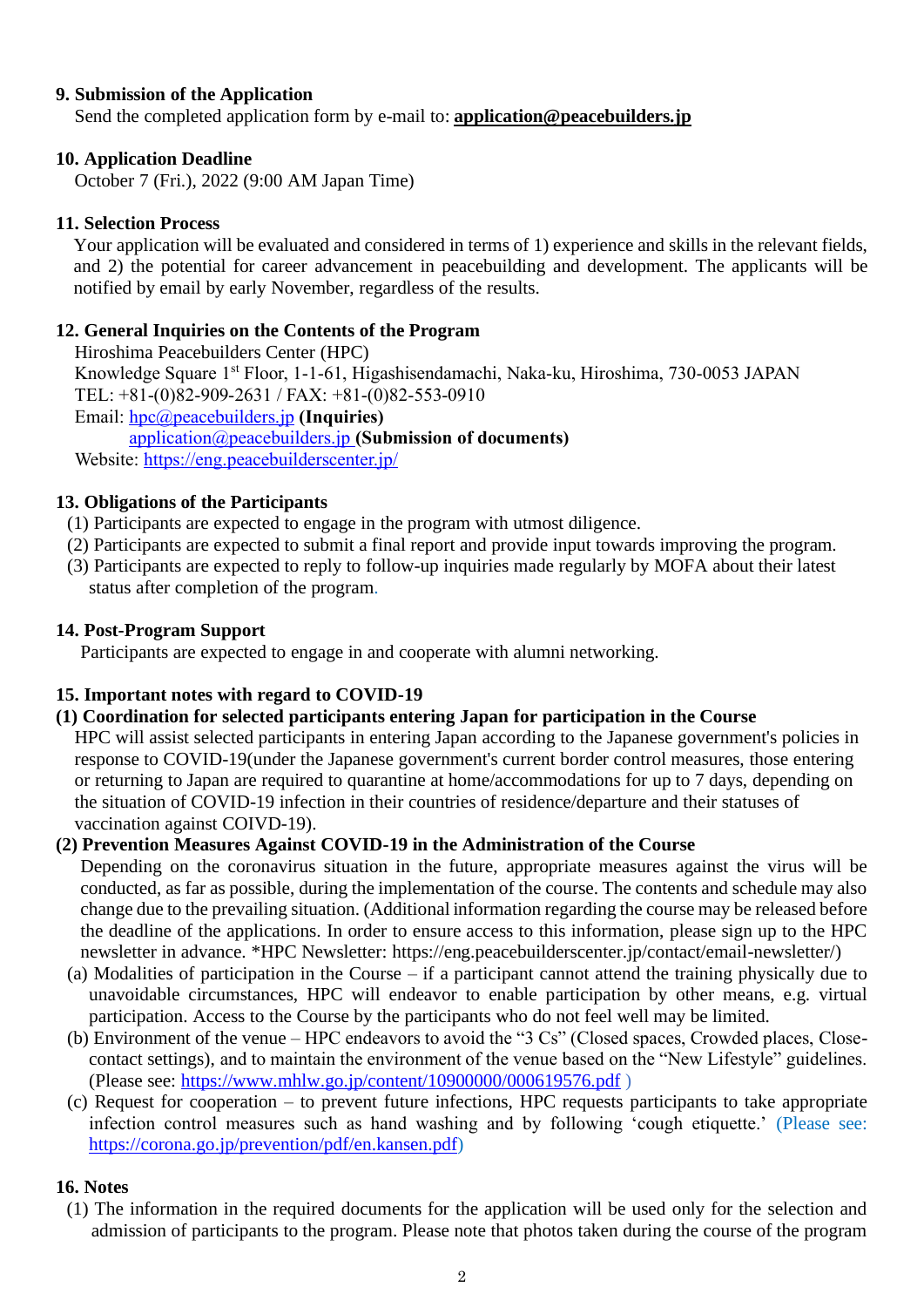## **9. Submission of the Application**

Send the completed application form by e-mail to: **[application@peacebuilders.jp](mailto:application@peacebuilders.jp)**

### **10. Application Deadline**

October 7 (Fri.), 2022 (9:00 AM Japan Time)

### **11. Selection Process**

Your application will be evaluated and considered in terms of 1) experience and skills in the relevant fields, and 2) the potential for career advancement in peacebuilding and development. The applicants will be notified by email by early November, regardless of the results.

### **12. General Inquiries on the Contents of the Program**

Hiroshima Peacebuilders Center (HPC)

Knowledge Square 1st Floor, 1-1-61, Higashisendamachi, Naka-ku, Hiroshima, 730-0053 JAPAN TEL: +81-(0)82-909-2631 / FAX: +81-(0)82-553-0910

Email: [hpc@peacebuilders.jp](file:///C:/Users/AppData/Local/Packages/microsoft.windowscommunicationsapps_8wekyb3d8bbwe/LocalState/Files/S0/30175/Library/Containers/com.apple.mail/Data/Library/AppData/Local/Packages/Microsoft.Office.Desktop_8wekyb3d8bbwe/AC/AppData/Local/Packages/Microsoft.Office.Desktop_8wekyb3d8bbwe/AC/AppData/Local/Packages/Microsoft.Office.Desktop_8wekyb3d8bbwe/AC/AppData/Local/Packages/Microsoft.Office.Desktop_8wekyb3d8bbwe/AC/AppData/Local/Packages/microsoft.windowscommunicationsapps_8wekyb3d8bbwe/LocalState/Files/AppData/Local/Packages/Microsoft.Office.Desktop_8wekyb3d8bbwe/b14228/AppData/Local/Microsoft/Windows/Temporary%20Internet%20Files/Content.Outlook/AppData/Local/Packages/Microsoft.Office.Desktop_8wekyb3d8bbwe/AC/INetCache/AppData/Local/AppData/Local/Microsoft/Windows/INetCache/Content.Outlook/AppData/Local/Microsoft/Windows/INetCache/Content.Outlook/AppData/Local/AppData/Local/Microsoft/Windows/INetCache/Content.Outlook/AppData/Local/Microsoft/Windows/INetCache/Content.Outlook/AppData/Local/Microsoft/Windows/INetCache/Content.Outlook/K7DYE3NL/hpc@peacebuilders.jp) **(Inquiries)**

[application@peacebuilders.jp](mailto:application@peacebuilders.jp) **(Submission of documents)**

Website: <https://eng.peacebuilderscenter.jp/>

### **13. Obligations of the Participants**

- (1) Participants are expected to engage in the program with utmost diligence.
- (2) Participants are expected to submit a final report and provide input towards improving the program.
- (3) Participants are expected to reply to follow-up inquiries made regularly by MOFA about their latest status after completion of the program.

#### **14. Post-Program Support**

Participants are expected to engage in and cooperate with alumni networking.

## **15. Important notes with regard to COVID-19**

#### **(1) Coordination for selected participants entering Japan for participation in the Course**

HPC will assist selected participants in entering Japan according to the Japanese government's policies in response to COVID-19(under the Japanese government's current border control measures, those entering or returning to Japan are required to quarantine at home/accommodations for up to 7 days, depending on the situation of COVID-19 infection in their countries of residence/departure and their statuses of vaccination against COIVD-19).

#### **(2) Prevention Measures Against COVID-19 in the Administration of the Course**

Depending on the coronavirus situation in the future, appropriate measures against the virus will be conducted, as far as possible, during the implementation of the course. The contents and schedule may also change due to the prevailing situation. (Additional information regarding the course may be released before the deadline of the applications. In order to ensure access to this information, please sign up to the HPC newsletter in advance. \*HPC Newsletter: [https://eng.peacebuilderscenter.jp/contact/email-newsletter/\)](https://eng.peacebuilderscenter.jp/contact/email-newsletter/)

- (a) Modalities of participation in the Course if a participant cannot attend the training physically due to unavoidable circumstances, HPC will endeavor to enable participation by other means, e.g. virtual participation. Access to the Course by the participants who do not feel well may be limited.
- (b) Environment of the venue HPC endeavors to avoid the "3 Cs" (Closed spaces, Crowded places, Closecontact settings), and to maintain the environment of the venue based on the "New Lifestyle" guidelines. (Please see: <https://www.mhlw.go.jp/content/10900000/000619576.pdf> )
- (c) Request for cooperation to prevent future infections, HPC requests participants to take appropriate infection control measures such as hand washing and by following 'cough etiquette.' (Please see: [https://corona.go.jp/prevention/pdf/en.kansen.pdf\)](https://corona.go.jp/prevention/pdf/en.kansen.pdf)

#### **16. Notes**

(1) The information in the required documents for the application will be used only for the selection and admission of participants to the program. Please note that photos taken during the course of the program